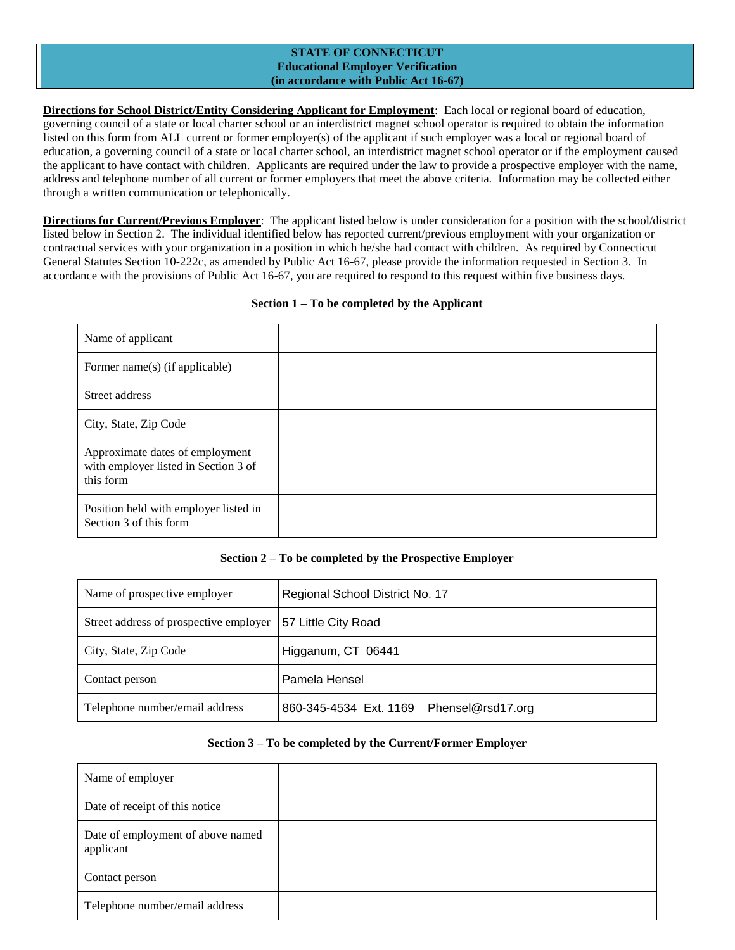## **STATE OF CONNECTICUT Educational Employer Verification (in accordance with Public Act 16-67)**

**Directions for School District/Entity Considering Applicant for Employment**: Each local or regional board of education, governing council of a state or local charter school or an interdistrict magnet school operator is required to obtain the information listed on this form from ALL current or former employer(s) of the applicant if such employer was a local or regional board of education, a governing council of a state or local charter school, an interdistrict magnet school operator or if the employment caused the applicant to have contact with children. Applicants are required under the law to provide a prospective employer with the name, address and telephone number of all current or former employers that meet the above criteria. Information may be collected either through a written communication or telephonically.

**Directions for Current/Previous Employer**: The applicant listed below is under consideration for a position with the school/district listed below in Section 2. The individual identified below has reported current/previous employment with your organization or contractual services with your organization in a position in which he/she had contact with children. As required by Connecticut General Statutes Section 10-222c, as amended by Public Act 16-67, please provide the information requested in Section 3. In accordance with the provisions of Public Act 16-67, you are required to respond to this request within five business days.

#### **Section 1 – To be completed by the Applicant**

| Name of applicant                                                                    |  |
|--------------------------------------------------------------------------------------|--|
| Former name(s) (if applicable)                                                       |  |
| Street address                                                                       |  |
| City, State, Zip Code                                                                |  |
| Approximate dates of employment<br>with employer listed in Section 3 of<br>this form |  |
| Position held with employer listed in<br>Section 3 of this form                      |  |

## **Section 2 – To be completed by the Prospective Employer**

| Name of prospective employer           | Regional School District No. 17          |
|----------------------------------------|------------------------------------------|
| Street address of prospective employer | 57 Little City Road                      |
| City, State, Zip Code                  | Higganum, CT 06441                       |
| Contact person                         | Pamela Hensel                            |
| Telephone number/email address         | 860-345-4534 Ext. 1169 Phensel@rsd17.org |

#### **Section 3 – To be completed by the Current/Former Employer**

| Name of employer                               |  |
|------------------------------------------------|--|
| Date of receipt of this notice                 |  |
| Date of employment of above named<br>applicant |  |
| Contact person                                 |  |
| Telephone number/email address                 |  |